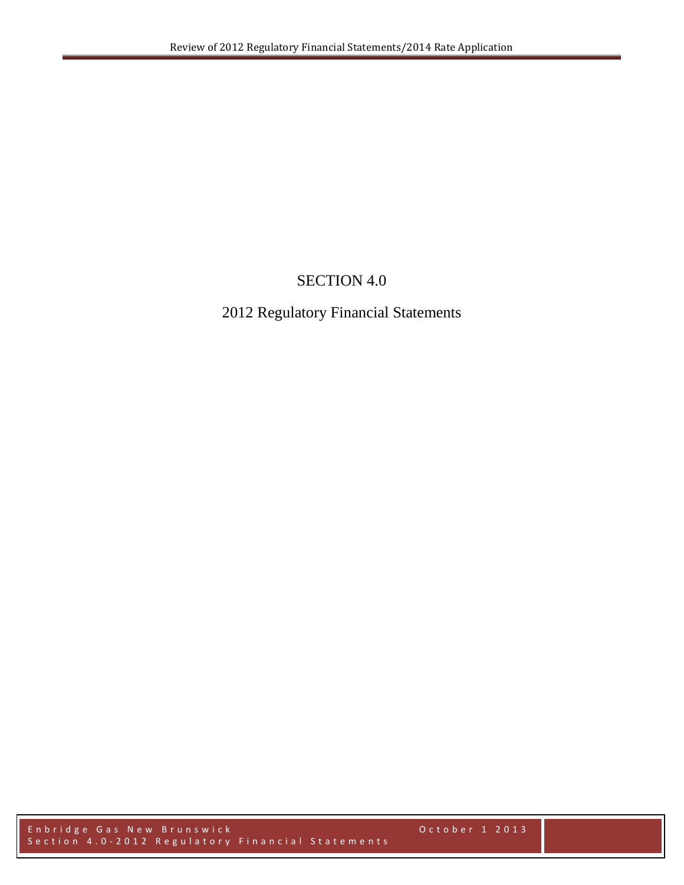# SECTION 4.0

## 2012 Regulatory Financial Statements

Enbridge Gas New Brunswick October 1 2013 Section 4.0 - 2012 Regulatory Financial Statements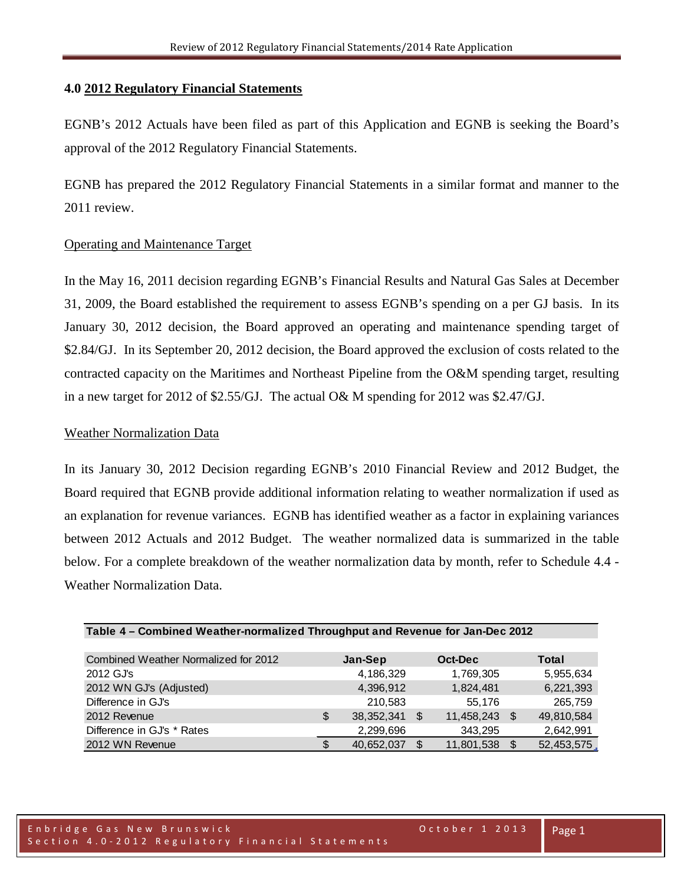#### **4.0 2012 Regulatory Financial Statements**

EGNB's 2012 Actuals have been filed as part of this Application and EGNB is seeking the Board's approval of the 2012 Regulatory Financial Statements.

EGNB has prepared the 2012 Regulatory Financial Statements in a similar format and manner to the 2011 review.

### Operating and Maintenance Target

In the May 16, 2011 decision regarding EGNB's Financial Results and Natural Gas Sales at December 31, 2009, the Board established the requirement to assess EGNB's spending on a per GJ basis. In its January 30, 2012 decision, the Board approved an operating and maintenance spending target of \$2.84/GJ. In its September 20, 2012 decision, the Board approved the exclusion of costs related to the contracted capacity on the Maritimes and Northeast Pipeline from the O&M spending target, resulting in a new target for 2012 of \$2.55/GJ. The actual O& M spending for 2012 was \$2.47/GJ.

#### Weather Normalization Data

In its January 30, 2012 Decision regarding EGNB's 2010 Financial Review and 2012 Budget, the Board required that EGNB provide additional information relating to weather normalization if used as an explanation for revenue variances. EGNB has identified weather as a factor in explaining variances between 2012 Actuals and 2012 Budget. The weather normalized data is summarized in the table below. For a complete breakdown of the weather normalization data by month, refer to Schedule 4.4 - Weather Normalization Data.

| Combined Weather Normalized for 2012 | Jan-Sep            | Oct-Dec    |      | Total      |
|--------------------------------------|--------------------|------------|------|------------|
| 2012 GJ's                            | 4,186,329          | 1,769,305  |      | 5,955,634  |
| 2012 WN GJ's (Adjusted)              | 4,396,912          | 1,824,481  |      | 6,221,393  |
| Difference in GJ's                   | 210.583            | 55,176     |      | 265,759    |
| 2012 Revenue                         | \$<br>38, 352, 341 | 11,458,243 | - \$ | 49,810,584 |
| Difference in GJ's * Rates           | 2,299,696          | 343,295    |      | 2,642,991  |
| 2012 WN Revenue                      | 40,652,037         | 11,801,538 | - \$ | 52,453,575 |